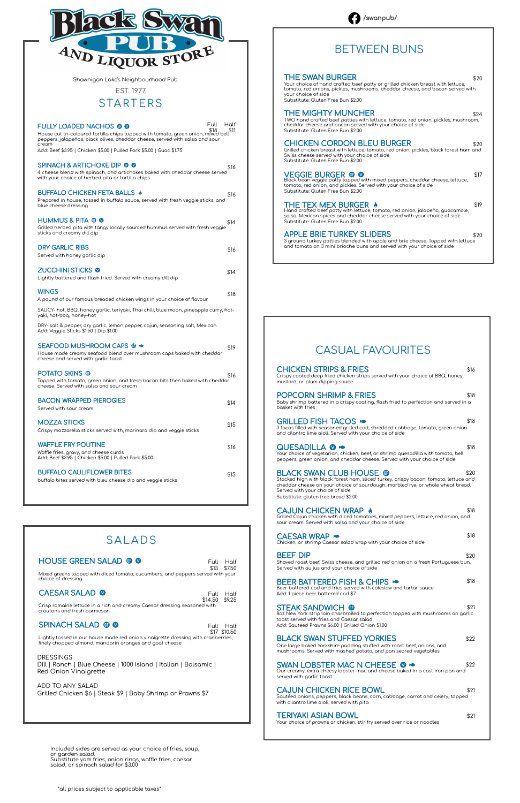| <b>CHICKEN STRIPS &amp; FRIES</b><br>Crispy coated deep fried chicken strips served with your choice of BBQ, honey<br>mustard, or plum dipping sauce                                                                                                                                | \$16 |
|-------------------------------------------------------------------------------------------------------------------------------------------------------------------------------------------------------------------------------------------------------------------------------------|------|
| <b>POPCORN SHRIMP &amp; FRIES</b><br>Baby shrimp battered in a crispy coating, flash fried to perfection and served in a<br>basket with fries                                                                                                                                       | \$18 |
| <b>GRILLED FISH TACOS &gt;</b><br>3 tacos filled with seasoned grilled cod, shredded cabbage, tomato, green onion<br>and cilantro lime aioli. Served with your choice of side                                                                                                       | \$18 |
| QUESADILLA @ ><br>Your choice of vegetarian, chicken, beef, or shrimp quesadilla with tomato, bell<br>peppers, green onion, and cheddar cheese. Served with your choice of side                                                                                                     | \$18 |
| <b>BLACK SWAN CLUB HOUSE ®</b><br>Stacked high with black forest ham, sliced turkey, crispy bacon, tomato, lettuce and<br>cheddar cheese on your choice of sourdough, marbled rye, or whole wheat bread.<br>Served with your choice of side<br>Substitute: gluten free bread \$2.00 | \$20 |
| <b>CAJUN CHICKEN WRAP &amp;</b><br>Grilled Cajun chicken with diced tomatoes, mixed peppers, lettuce, red onion, and<br>sour cream. Served with salsa and your choice of side                                                                                                       | \$18 |
| CAESAR WRAP ><br>Chicken, or shrimp Caesar salad wrap with your choice of side                                                                                                                                                                                                      | \$18 |
| <b>BEEF DIP</b><br>Shaved roast beef, Swiss cheese, and grilled red onion on a fresh Portuguese bun.<br>Served with au jus and your choice of side                                                                                                                                  | \$20 |
|                                                                                                                                                                                                                                                                                     |      |

#### BEER BATTERED FISH & CHIPS  $\bullet$  \$18 oleslaw and tartar sauce

#### CAESAR SALAD **O**

SWAN LOBSTER MAC N CHEESE  $\bullet \bullet$ <br>Our creamy, extra cheesy lobster mac and cheese baked in a cast iron pan and served with garlic toast

#### CAJUN CHICKEN RICE BOWL \$21

Add: 1 piece beer battered cod \$7

#### STEAK SANDWICH **to**

8oz New York strip loin charbroiled to perfection topped with mushrooms on garlic toast served with fries and Caesar salad

Add: Sauteed Prawns \$6.00 | Grilled Onion \$1.00

### BLACK SWAN STUFFED YORKIES \$22

One large baked Yorkshire pudding stuffed with roast beef, onions, and mushrooms. Served with mashed potato, and pan seared vegetables

\$13 \$7.50 Full Half

> Sautéed onions, peppers, black beans, corn, cabbage, carrot and celery, topped with cilantro lime aioli, served with pita

#### TERIYAKI ASIAN BOWL \$21

Your choice of prawns or chicken, stir fry served over rice or noodles

\$17 \$10.50 Full Half

### STARTERS

| Full<br><b>FULLY LOADED NACHOS ® ®</b><br>House cut tri-coloured tortilla chips topped with tomato, green onion, mixed bell \$11<br>OBOOBES inloadEas black alisse at supplement to make the mixed bell<br>peppers, jalapeños, black olives, cheddar cheese, served with salsa and sour<br>cream | Half |
|--------------------------------------------------------------------------------------------------------------------------------------------------------------------------------------------------------------------------------------------------------------------------------------------------|------|
| Add: Beef \$3.95   Chicken \$5.00   Pulled Pork \$5.00   Guac \$1.75<br><b>SPINACH &amp; ARTICHOKE DIP @ @</b><br>4 cheese blend with spinach, and artichokes baked with cheddar cheese served<br>with your choice of herbed pita or tortilla chips                                              | \$16 |
| BUFFALO CHICKEN FETA BALLS &<br>Prepared in house, tossed in buffalo sauce, served with fresh veggie sticks, and<br>blue cheese dressing                                                                                                                                                         | \$16 |
| HUMMUS & PITA © Ø<br>Grilled herbed pita with tangy locally sourced hummus served with fresh veggie<br>sticks and creamy dill dip                                                                                                                                                                | \$14 |
| <b>DRY GARLIC RIBS</b><br>Served with honey garlic dip                                                                                                                                                                                                                                           | \$16 |
| <b>ZUCCHINI STICKS @</b><br>Lightly battered and flash fried. Served with creamy dill dip                                                                                                                                                                                                        | \$14 |
| <b>WINGS</b><br>A pound of our famous breaded chicken wings in your choice of flavour                                                                                                                                                                                                            | \$18 |
| SAUCY- hot, BBQ, honey garlic, teriyaki, Thai chili, blue moon, pineapple curry, hot-<br>yaki, hot-bbq, honey-hot                                                                                                                                                                                |      |
| DRY- salt & pepper, dry garlic, lemon pepper, cajun, seasoning salt, Mexican<br>Add: Veggie Sticks \$1.50   Dip \$1.00                                                                                                                                                                           |      |
| SEAFOOD MUSHROOM CAPS ® ><br>House made creamy seafood blend over mushroom caps baked with cheddar<br>cheese and served with garlic toast                                                                                                                                                        | \$19 |
| <b>POTATO SKINS ®</b><br>Topped with tomato, green onion, and fresh bacon bits then baked with cheddar<br>cheese. Served with salsa and sour cream                                                                                                                                               | \$16 |
| <b>BACON WRAPPED PIEROGIES</b><br>Served with sour cream                                                                                                                                                                                                                                         | \$14 |
| <b>MOZZA STICKS</b><br>Crispy mozzarella sticks served with, marinara dip and veggie sticks                                                                                                                                                                                                      | \$15 |
| <b>WAFFLE FRY POUTINE</b><br>Waffle fries, gravy, and cheese curds<br>Add: Beef \$3.95   Chicken \$5.00   Pulled Pork \$5.00                                                                                                                                                                     | \$16 |
| <b>BUFFALO CAULIFLOWER BITES</b><br>buffalo bites served with bleu cheese dip and veggie sticks                                                                                                                                                                                                  | \$15 |

Mixed greens topped with diced tomato, cucumbers, and peppers served with your choice of dressing

Half

\$14.50 \$9.25 Crisp romaine lettuce in a rich and creamy Caesar dressing seasoned with croutons and fresh parmesan

#### SPINACH SALAD **to**

Lightly tossed in our house made red onion vinaigrette dressing with cranberries, finely chopped almond, mandarin oranges and goat cheese

#### EST. 1977

| THE SWAN BURGER<br>Your choice of hand crafted beef patty or grilled chicken breast with lettuce,<br>tomato, red onions, pickles, mushrooms, cheddar cheese, and bacon served with<br>your choice of side<br>Substitute: Gluten Free Bun \$2.00 | \$20 |
|-------------------------------------------------------------------------------------------------------------------------------------------------------------------------------------------------------------------------------------------------|------|
| THE MIGHTY MUNCHER<br>TWO hand crafted beef patties with lettuce, tomato, red onion, pickles, mushroom,<br>cheddar cheese and bacon served with your choice of side<br>Substitute: Gluten Free Bun \$2.00                                       | \$24 |
| <b>CHICKEN CORDON BLEU BURGER</b><br>Grilled chicken breast with lettuce, tomato, red onion, pickles, black forest ham and<br>Swiss cheese served with your choice of side<br>Substitute: Gluten Free Bun \$2.00                                | \$20 |
| VEGGIE BURGER ® 0<br>Black bean veggie patty topped with mixed peppers, cheddar cheese, lettuce,<br>tomato, red onion, and pickles. Served with your choice of side<br>Substitute: Gluten Free Bun \$2.00                                       | \$17 |
| THE TEX MEX BURGER $\,$ M<br>Hand crafted beef patty with lettuce, tomato, red onion, jalapeño, guacamole,<br>salsa, Mexican spices and cheddar cheese served with your choice of side<br>Substitute: Gluten Free Bun \$2.00                    | \$19 |
| <b>APPLE BRIE TURKEY SLIDERS</b><br>3 ground turkey patties blended with apple and brie cheese. Topped with lettuce<br>and tomato on 3 mini brioche buns and served with your choice of side                                                    | \$20 |
|                                                                                                                                                                                                                                                 |      |

# BETWEEN BUNS

### SALADS

#### HOUSE GREEN SALAD @ 0

# CASUAL FAVOURITES



Shawnigan Lake's Neighbourhood Pub

DRESSINGS Dill | Ranch | Blue Cheese | 1000 Island | Italian | Balsamic | Red Onion Vinaigrette

ADD TO ANY SALAD Grilled Chicken \$6 | Steak \$9 | Baby Shrimp or Prawns \$7

Included sides are served as your choice of fries, soup, or garden salad. Substitute yam fries, onion rings, waffle fries, caesar salad, or spinach salad for \$3.00